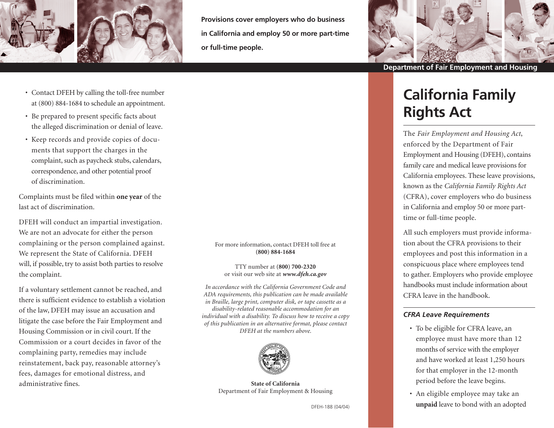

**Provisions cover employers who do business in California and employ 50 or more part-time or full-time people.**

- Contact DFEH by calling the toll-free number at (800) 884-1684 to schedule an appointment.
- Be prepared to present specific facts about the alleged discrimination or denial of leave.
- Keep records and provide copies of documents that support the charges in the complaint, such as paycheck stubs, calendars, correspondence, and other potential proof of discrimination.

Complaints must be filed within **one year** of the last act of discrimination.

DFEH will conduct an impartial investigation. We are not an advocate for either the person complaining or the person complained against. We represent the State of California. DFEH will, if possible, try to assist both parties to resolve the complaint.

If a voluntary settlement cannot be reached, and there is sufficient evidence to establish a violation of the law, DFEH may issue an accusation and litigate the case before the Fair Employment and Housing Commission or in civil court. If the Commission or a court decides in favor of the complaining party, remedies may include reinstatement, back pay, reasonable attorney's fees, damages for emotional distress, and administrative fines.

#### For more information, contact DFEH toll free at **(800) 884-1684**

TTY number at **(800) 700-2320** or visit our web site at *www.dfeh.ca.gov*

*In accordance with the California Government Code and ADA requirements, this publication can be made available in Braille, large print, computer disk, or tape cassette as a disability-related reasonable accommodation for an individual with a disability. To discuss how to receive a copy of this publication in an alternative format, please contact DFEH at the numbers above.*



**State of California** Department of Fair Employment & Housing



#### **Department of Fair Employment and Housing**

# **California Family Rights Act**

The *Fair Employment and Housing Act*, enforced by the Department of Fair Employment and Housing (DFEH), contains family care and medical leave provisions for California employees. These leave provisions, known as the *California Family Rights Act* (CFRA), cover employers who do business in California and employ 50 or more parttime or full-time people.

All such employers must provide information about the CFRA provisions to their employees and post this information in a conspicuous place where employees tend to gather. Employers who provide employee handbooks must include information about CFRA leave in the handbook.

#### *CFRA Leave Requirements*

- To be eligible for CFRA leave, an employee must have more than 12 months of service with the employer and have worked at least 1,250 hours for that employer in the 12-month period before the leave begins.
- An eligible employee may take an **unpaid** leave to bond with an adopted